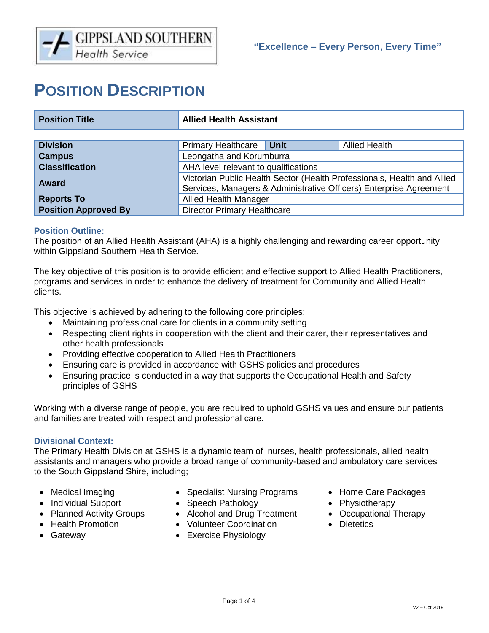# **POSITION DESCRIPTION**

| <b>Position Title</b>       | <b>Allied Health Assistant</b>                                                                                                                |      |                      |  |
|-----------------------------|-----------------------------------------------------------------------------------------------------------------------------------------------|------|----------------------|--|
|                             |                                                                                                                                               |      |                      |  |
| <b>Division</b>             | <b>Primary Healthcare</b>                                                                                                                     | Unit | <b>Allied Health</b> |  |
| <b>Campus</b>               | Leongatha and Korumburra                                                                                                                      |      |                      |  |
| <b>Classification</b>       | AHA level relevant to qualifications                                                                                                          |      |                      |  |
| Award                       | Victorian Public Health Sector (Health Professionals, Health and Allied<br>Services, Managers & Administrative Officers) Enterprise Agreement |      |                      |  |
| <b>Reports To</b>           | <b>Allied Health Manager</b>                                                                                                                  |      |                      |  |
| <b>Position Approved By</b> | <b>Director Primary Healthcare</b>                                                                                                            |      |                      |  |

# **Position Outline:**

The position of an Allied Health Assistant (AHA) is a highly challenging and rewarding career opportunity within Gippsland Southern Health Service.

The key objective of this position is to provide efficient and effective support to Allied Health Practitioners, programs and services in order to enhance the delivery of treatment for Community and Allied Health clients.

This objective is achieved by adhering to the following core principles;

- Maintaining professional care for clients in a community setting
- Respecting client rights in cooperation with the client and their carer, their representatives and other health professionals
- Providing effective cooperation to Allied Health Practitioners
- Ensuring care is provided in accordance with GSHS policies and procedures
- Ensuring practice is conducted in a way that supports the Occupational Health and Safety principles of GSHS

Working with a diverse range of people, you are required to uphold GSHS values and ensure our patients and families are treated with respect and professional care.

# **Divisional Context:**

The Primary Health Division at GSHS is a dynamic team of nurses, health professionals, allied health assistants and managers who provide a broad range of community-based and ambulatory care services to the South Gippsland Shire, including;

- Medical Imaging
- Individual Support
- 
- 
- 
- Specialist Nursing Programs
- Speech Pathology
- Planned Activity Groups Alcohol and Drug Treatment Occupational Therapy
- Health Promotion Volunteer Coordination Dietetics
- Gateway  **Exercise Physiology**
- Home Care Packages
- Physiotherapy
- 
-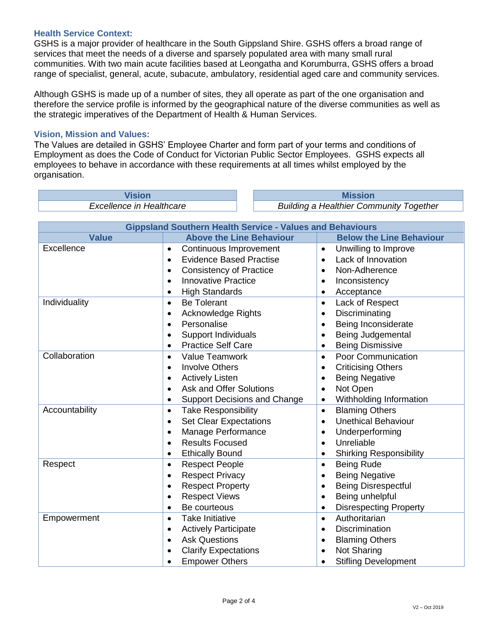# **Health Service Context:**

GSHS is a major provider of healthcare in the South Gippsland Shire. GSHS offers a broad range of services that meet the needs of a diverse and sparsely populated area with many small rural communities. With two main acute facilities based at Leongatha and Korumburra, GSHS offers a broad range of specialist, general, acute, subacute, ambulatory, residential aged care and community services.

Although GSHS is made up of a number of sites, they all operate as part of the one organisation and therefore the service profile is informed by the geographical nature of the diverse communities as well as the strategic imperatives of the Department of Health & Human Services.

# **Vision, Mission and Values:**

The Values are detailed in GSHS' Employee Charter and form part of your terms and conditions of Employment as does the Code of Conduct for Victorian Public Sector Employees. GSHS expects all employees to behave in accordance with these requirements at all times whilst employed by the organisation.

**Vision Mission** 

*Excellence in Healthcare Building a Healthier Community Together*

| <b>Gippsland Southern Health Service - Values and Behaviours</b> |                                             |                                            |  |  |  |
|------------------------------------------------------------------|---------------------------------------------|--------------------------------------------|--|--|--|
| <b>Value</b>                                                     | <b>Above the Line Behaviour</b>             | <b>Below the Line Behaviour</b>            |  |  |  |
| Excellence                                                       | Continuous Improvement<br>$\bullet$         | Unwilling to Improve<br>$\bullet$          |  |  |  |
|                                                                  | <b>Evidence Based Practise</b><br>$\bullet$ | Lack of Innovation<br>$\bullet$            |  |  |  |
|                                                                  | <b>Consistency of Practice</b><br>$\bullet$ | Non-Adherence<br>$\bullet$                 |  |  |  |
|                                                                  | <b>Innovative Practice</b><br>$\bullet$     | Inconsistency                              |  |  |  |
|                                                                  | <b>High Standards</b><br>٠                  | Acceptance                                 |  |  |  |
| Individuality                                                    | <b>Be Tolerant</b><br>$\bullet$             | Lack of Respect<br>$\bullet$               |  |  |  |
|                                                                  | <b>Acknowledge Rights</b><br>$\bullet$      | Discriminating<br>$\bullet$                |  |  |  |
|                                                                  | Personalise<br>$\bullet$                    | Being Inconsiderate                        |  |  |  |
|                                                                  | <b>Support Individuals</b><br>$\bullet$     | Being Judgemental                          |  |  |  |
|                                                                  | <b>Practice Self Care</b><br>$\bullet$      | <b>Being Dismissive</b><br>$\bullet$       |  |  |  |
| Collaboration                                                    | <b>Value Teamwork</b><br>$\bullet$          | Poor Communication<br>$\bullet$            |  |  |  |
|                                                                  | <b>Involve Others</b><br>$\bullet$          | <b>Criticising Others</b><br>$\bullet$     |  |  |  |
|                                                                  | <b>Actively Listen</b><br>$\bullet$         | <b>Being Negative</b><br>$\bullet$         |  |  |  |
|                                                                  | <b>Ask and Offer Solutions</b><br>$\bullet$ | Not Open<br>$\bullet$                      |  |  |  |
|                                                                  | <b>Support Decisions and Change</b><br>٠    | Withholding Information<br>$\bullet$       |  |  |  |
| Accountability                                                   | <b>Take Responsibility</b><br>$\bullet$     | <b>Blaming Others</b><br>$\bullet$         |  |  |  |
|                                                                  | <b>Set Clear Expectations</b><br>$\bullet$  | <b>Unethical Behaviour</b><br>$\bullet$    |  |  |  |
|                                                                  | Manage Performance<br>$\bullet$             | Underperforming<br>$\bullet$               |  |  |  |
|                                                                  | <b>Results Focused</b>                      | Unreliable<br>$\bullet$                    |  |  |  |
|                                                                  | <b>Ethically Bound</b><br>٠                 | <b>Shirking Responsibility</b>             |  |  |  |
| Respect                                                          | <b>Respect People</b><br>$\bullet$          | <b>Being Rude</b><br>$\bullet$             |  |  |  |
|                                                                  | <b>Respect Privacy</b><br>$\bullet$         | <b>Being Negative</b>                      |  |  |  |
|                                                                  | <b>Respect Property</b><br>$\bullet$        | <b>Being Disrespectful</b>                 |  |  |  |
|                                                                  | <b>Respect Views</b><br>$\bullet$           | Being unhelpful<br>$\bullet$               |  |  |  |
|                                                                  | Be courteous<br>$\bullet$                   | <b>Disrespecting Property</b><br>$\bullet$ |  |  |  |
| Empowerment                                                      | Take Initiative<br>$\bullet$                | Authoritarian<br>$\bullet$                 |  |  |  |
|                                                                  | <b>Actively Participate</b><br>$\bullet$    | <b>Discrimination</b><br>$\bullet$         |  |  |  |
|                                                                  | <b>Ask Questions</b>                        | <b>Blaming Others</b>                      |  |  |  |
|                                                                  | <b>Clarify Expectations</b>                 | Not Sharing                                |  |  |  |
|                                                                  | <b>Empower Others</b><br>٠                  | <b>Stifling Development</b>                |  |  |  |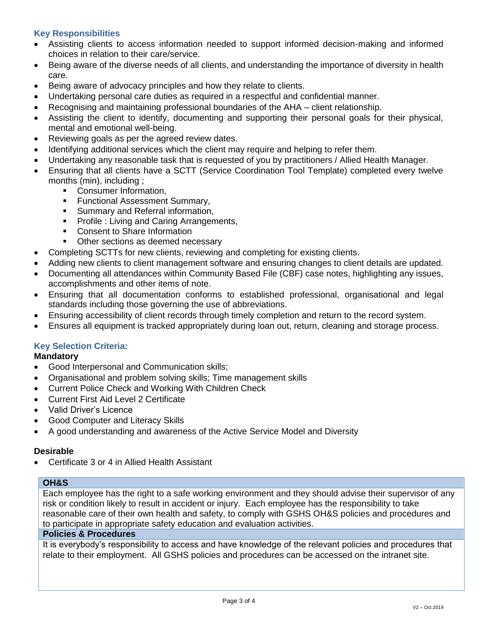# **Key Responsibilities**

- Assisting clients to access information needed to support informed decision-making and informed choices in relation to their care/service.
- Being aware of the diverse needs of all clients, and understanding the importance of diversity in health care.
- Being aware of advocacy principles and how they relate to clients.
- Undertaking personal care duties as required in a respectful and confidential manner.
- Recognising and maintaining professional boundaries of the AHA client relationship.
- Assisting the client to identify, documenting and supporting their personal goals for their physical, mental and emotional well-being.
- Reviewing goals as per the agreed review dates.
- Identifying additional services which the client may require and helping to refer them.
- Undertaking any reasonable task that is requested of you by practitioners / Allied Health Manager.
- Ensuring that all clients have a SCTT (Service Coordination Tool Template) completed every twelve months (min), including ;
	- **Consumer Information,**
	- **Functional Assessment Summary,**
	- **Summary and Referral information,**
	- **Profile : Living and Caring Arrangements,**
	- Consent to Share Information
	- Other sections as deemed necessary
- Completing SCTTs for new clients, reviewing and completing for existing clients.
- Adding new clients to client management software and ensuring changes to client details are updated.
- Documenting all attendances within Community Based File (CBF) case notes, highlighting any issues, accomplishments and other items of note.
- Ensuring that all documentation conforms to established professional, organisational and legal standards including those governing the use of abbreviations.
- Ensuring accessibility of client records through timely completion and return to the record system.
- Ensures all equipment is tracked appropriately during loan out, return, cleaning and storage process.

# **Key Selection Criteria:**

# **Mandatory**

- Good Interpersonal and Communication skills;
- Organisational and problem solving skills; Time management skills
- Current Police Check and Working With Children Check
- Current First Aid Level 2 Certificate
- Valid Driver's Licence
- Good Computer and Literacy Skills
- A good understanding and awareness of the Active Service Model and Diversity

# **Desirable**

Certificate 3 or 4 in Allied Health Assistant

# **OH&S**

Each employee has the right to a safe working environment and they should advise their supervisor of any risk or condition likely to result in accident or injury. Each employee has the responsibility to take reasonable care of their own health and safety, to comply with GSHS OH&S policies and procedures and to participate in appropriate safety education and evaluation activities.

#### **Policies & Procedures**

It is everybody's responsibility to access and have knowledge of the relevant policies and procedures that relate to their employment. All GSHS policies and procedures can be accessed on the intranet site.